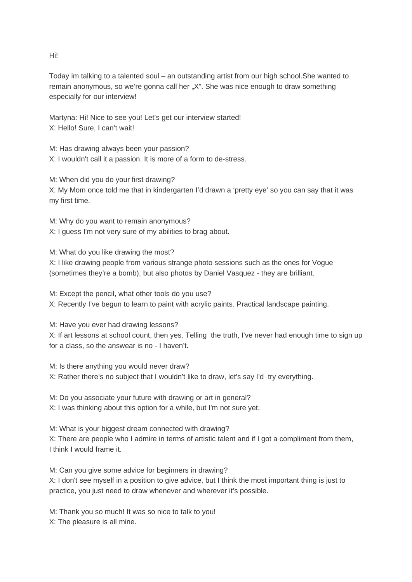Hi!

Today im talking to a talented soul – an outstanding artist from our high school.She wanted to remain anonymous, so we're gonna call her "X". She was nice enough to draw something especially for our interview!

Martyna: Hi! Nice to see you! Let's get our interview started! X: Hello! Sure, I can't wait!

M: Has drawing always been your passion? X: I wouldn't call it a passion. It is more of a form to de-stress.

M: When did you do your first drawing? X: My Mom once told me that in kindergarten I'd drawn a 'pretty eye' so you can say that it was my first time.

M: Why do you want to remain anonymous? X: I guess I'm not very sure of my abilities to brag about.

M: What do you like drawing the most? X: I like drawing people from various strange photo sessions such as the ones for Vogue (sometimes they're a bomb), but also photos by Daniel Vasquez - they are brilliant.

M: Except the pencil, what other tools do you use? X: Recently I've begun to learn to paint with acrylic paints. Practical landscape painting.

M: Have you ever had drawing lessons? X: If art lessons at school count, then yes. Telling the truth, I've never had enough time to sign up for a class, so the answear is no - I haven't.

M: Is there anything you would never draw? X: Rather there's no subject that I wouldn't like to draw, let's say I'd try everything.

M: Do you associate your future with drawing or art in general? X: I was thinking about this option for a while, but I'm not sure yet.

M: What is your biggest dream connected with drawing? X: There are people who I admire in terms of artistic talent and if I got a compliment from them, I think I would frame it.

M: Can you give some advice for beginners in drawing? X: I don't see myself in a position to give advice, but I think the most important thing is just to

practice, you just need to draw whenever and wherever it's possible.

M: Thank you so much! It was so nice to talk to you!

X: The pleasure is all mine.